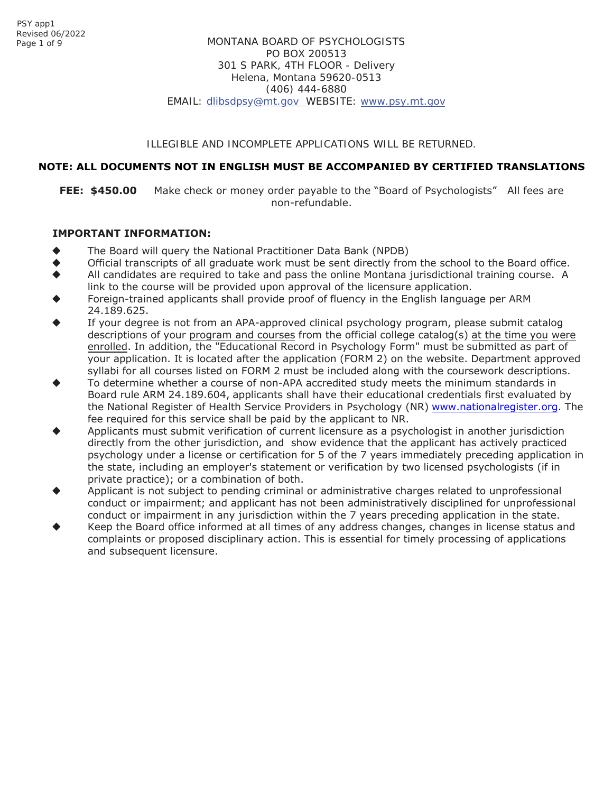## ILLEGIBLE AND INCOMPLETE APPLICATIONS WILL BE RETURNED.

# **NOTE: ALL DOCUMENTS NOT IN ENGLISH MUST BE ACCOMPANIED BY CERTIFIED TRANSLATIONS**

**FEE: \$450.00** Make check or money order payable to the "Board of Psychologists" All fees are non-refundable.

# **IMPORTANT INFORMATION:**

- The Board will query the National Practitioner Data Bank (NPDB)
- Official transcripts of all graduate work must be sent directly from the school to the Board office.
- All candidates are required to take and pass the online Montana jurisdictional training course. A link to the course will be provided upon approval of the licensure application.
- Foreign-trained applicants shall provide proof of fluency in the English language per ARM 24.189.625.
- If your degree is not from an APA-approved clinical psychology program, please submit catalog descriptions of your program and courses from the official college catalog(s) at the time you were enrolled. In addition, the "Educational Record in Psychology Form" must be submitted as part of your application. It is located after the application (FORM 2) on the website. Department approved syllabi for all courses listed on FORM 2 must be included along with the coursework descriptions.
- To determine whether a course of non-APA accredited study meets the minimum standards in Board rule ARM 24.189.604, applicants shall have their educational credentials first evaluated by the National Register of Health Service Providers in Psychology (NR) www.nationalregister.org. The fee required for this service shall be paid by the applicant to NR.
- Applicants must submit verification of current licensure as a psychologist in another jurisdiction directly from the other jurisdiction, and show evidence that the applicant has actively practiced psychology under a license or certification for 5 of the 7 years immediately preceding application in the state, including an employer's statement or verification by two licensed psychologists (if in private practice); or a combination of both.
- Applicant is not subject to pending criminal or administrative charges related to unprofessional conduct or impairment; and applicant has not been administratively disciplined for unprofessional conduct or impairment in any jurisdiction within the 7 years preceding application in the state.
- Keep the Board office informed at all times of any address changes, changes in license status and complaints or proposed disciplinary action. This is essential for timely processing of applications and subsequent licensure.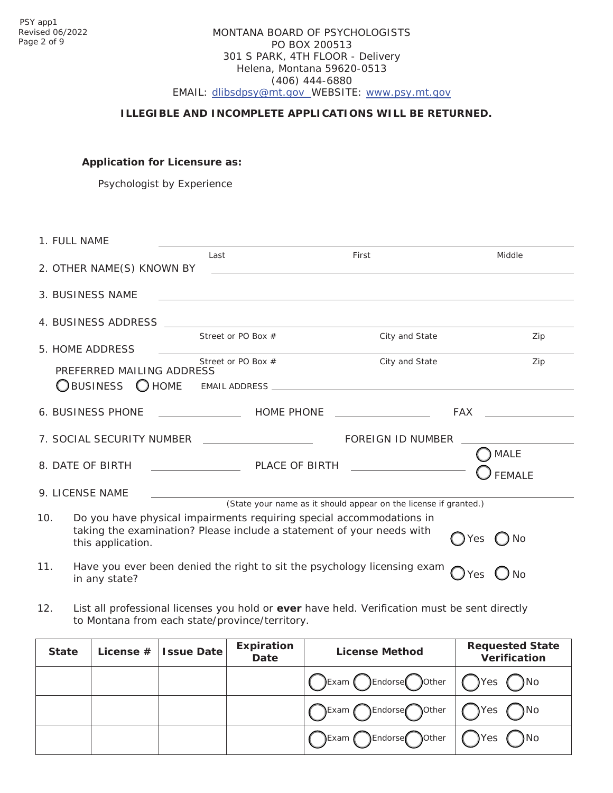# MONTANA BOARD OF PSYCHOLOGISTS PO BOX 200513 301 S PARK, 4TH FLOOR - Delivery Helena, Montana 59620-0513 (406) 444-6880 EMAIL: [dlibsdpsy@mt.gov](mailto:dlibsdpsy@mt.gov) WEBSITE: [www.psy.mt.gov](http://www.psy.mt.gov/)

# **ILLEGIBLE AND INCOMPLETE APPLICATIONS WILL BE RETURNED.**

**Application for Licensure as:**

Psychologist by Experience

|     | 1. FULL NAME                                  |                                                                                                                                               |                                                                  |                              |
|-----|-----------------------------------------------|-----------------------------------------------------------------------------------------------------------------------------------------------|------------------------------------------------------------------|------------------------------|
|     | 2. OTHER NAME(S) KNOWN BY                     | Last                                                                                                                                          | First                                                            | Middle                       |
|     | 3. BUSINESS NAME                              |                                                                                                                                               |                                                                  |                              |
|     |                                               |                                                                                                                                               |                                                                  |                              |
|     |                                               |                                                                                                                                               |                                                                  |                              |
|     | 5. HOME ADDRESS                               | Street or PO Box #                                                                                                                            | City and State                                                   | Zip                          |
|     | PREFERRED MAILING ADDRESS                     | Street or PO Box #                                                                                                                            | City and State                                                   | Zip                          |
|     |                                               |                                                                                                                                               |                                                                  |                              |
|     |                                               |                                                                                                                                               |                                                                  | FAX FAX                      |
|     | 7. SOCIAL SECURITY NUMBER ___________________ |                                                                                                                                               | FOREIGN ID NUMBER                                                |                              |
|     | 8. DATE OF BIRTH                              | PLACE OF BIRTH <b>And Access of STATE ACCESS</b>                                                                                              |                                                                  | <b>MALE</b><br><b>FEMALE</b> |
|     | 9. LICENSE NAME                               |                                                                                                                                               |                                                                  |                              |
|     |                                               |                                                                                                                                               | (State your name as it should appear on the license if granted.) |                              |
| 10. | this application.                             | Do you have physical impairments requiring special accommodations in<br>taking the examination? Please include a statement of your needs with |                                                                  | Yes<br>$()$ No               |
| 11. | in any state?                                 | Have you ever been denied the right to sit the psychology licensing exam                                                                      |                                                                  | <b>No</b><br>Yes             |

12. List all professional licenses you hold or **ever** have held. Verification must be sent directly to Montana from each state/province/territory.

| <b>State</b> | License $#$ Issue Date | <b>Expiration</b><br>Date | <b>License Method</b>            | <b>Requested State</b><br>Verification |
|--------------|------------------------|---------------------------|----------------------------------|----------------------------------------|
|              |                        |                           | CExam CEndorse Oother   OYes ONo |                                        |
|              |                        |                           | ○Exam CEndorse Oother   OYes ONo |                                        |
|              |                        |                           | ○Exam OEndorse Oother   ○Yes ○No |                                        |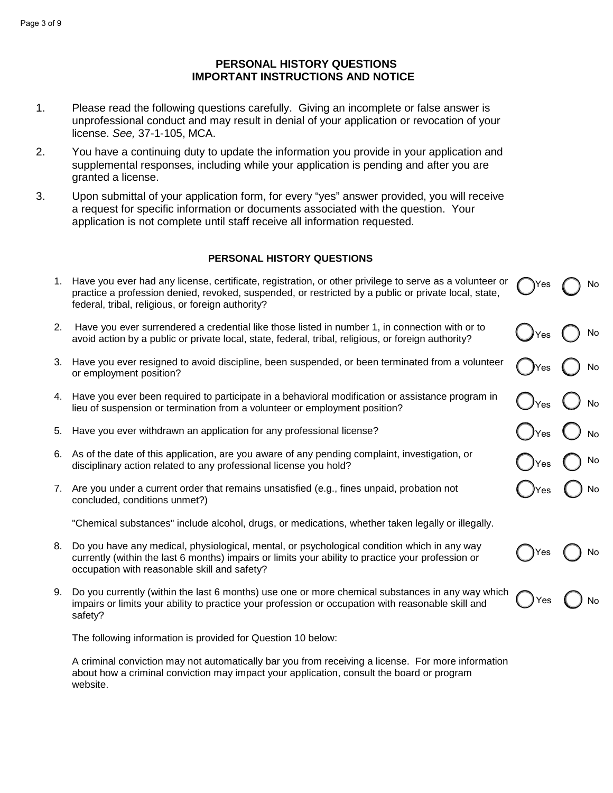#### Page 3 of 9

# **PERSONAL HISTORY QUESTIONS IMPORTANT INSTRUCTIONS AND NOTICE**

- 1. Please read the following questions carefully. Giving an incomplete or false answer is unprofessional conduct and may result in denial of your application or revocation of your license. *See,* 37-1-105, MCA.
- 2. You have a continuing duty to update the information you provide in your application and supplemental responses, including while your application is pending and after you are granted a license.
- 3. Upon submittal of your application form, for every "yes" answer provided, you will receive a request for specific information or documents associated with the question. Your application is not complete until staff receive all information requested.

# **PERSONAL HISTORY QUESTIONS**

|    | 1. Have you ever had any license, certificate, registration, or other privilege to serve as a volunteer or<br>practice a profession denied, revoked, suspended, or restricted by a public or private local, state,<br>federal, tribal, religious, or foreign authority? | ιYes                             | No   |
|----|-------------------------------------------------------------------------------------------------------------------------------------------------------------------------------------------------------------------------------------------------------------------------|----------------------------------|------|
| 2. | Have you ever surrendered a credential like those listed in number 1, in connection with or to<br>avoid action by a public or private local, state, federal, tribal, religious, or foreign authority?                                                                   | $\bigcup$ Yes                    | No   |
|    | 3. Have you ever resigned to avoid discipline, been suspended, or been terminated from a volunteer<br>or employment position?                                                                                                                                           | <b>)</b> Yes                     | No   |
|    | 4. Have you ever been required to participate in a behavioral modification or assistance program in<br>lieu of suspension or termination from a volunteer or employment position?                                                                                       | $\bigcup_{\text{Yes}}$ $\bigcup$ | No   |
| 5. | Have you ever withdrawn an application for any professional license?                                                                                                                                                                                                    | $\bigcup$ Yes                    |      |
|    | 6. As of the date of this application, are you aware of any pending complaint, investigation, or<br>disciplinary action related to any professional license you hold?                                                                                                   | )Yes                             | ) No |
|    | 7. Are you under a current order that remains unsatisfied (e.g., fines unpaid, probation not<br>concluded, conditions unmet?)                                                                                                                                           | lYes.                            | ) No |
|    | "Chemical substances" include alcohol, drugs, or medications, whether taken legally or illegally.                                                                                                                                                                       |                                  |      |
| 8. | Do you have any medical, physiological, mental, or psychological condition which in any way<br>currently (within the last 6 months) impairs or limits your ability to practice your profession or<br>occupation with reasonable skill and safety?                       | Yes                              | No   |
| 9. | Do you currently (within the last 6 months) use one or more chemical substances in any way which<br>impairs or limits your ability to practice your profession or occupation with reasonable skill and<br>safety?                                                       | Yes                              | No   |

The following information is provided for Question 10 below:

A criminal conviction may not automatically bar you from receiving a license. For more information about how a criminal conviction may impact your application, consult the board or program website.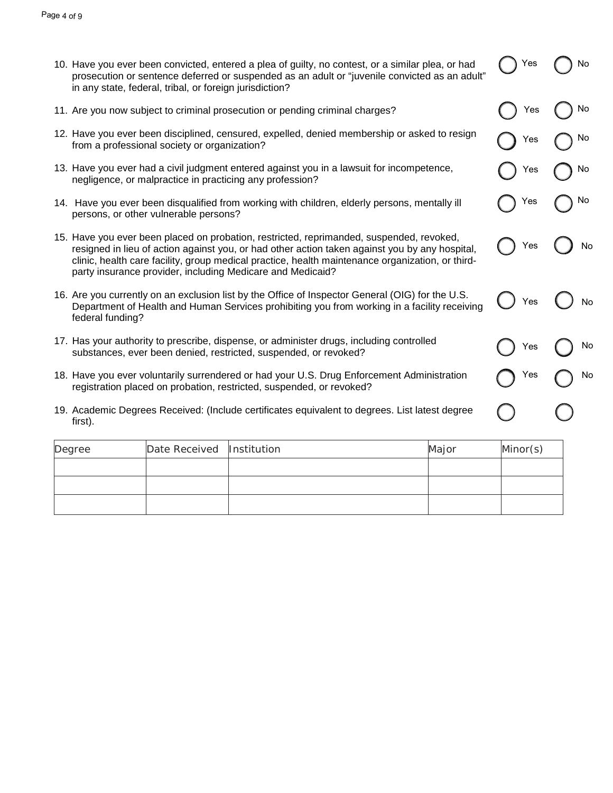| 10. Have you ever been convicted, entered a plea of guilty, no contest, or a similar plea, or had |
|---------------------------------------------------------------------------------------------------|
| prosecution or sentence deferred or suspended as an adult or "juvenile convicted as an adult"     |
| in any state, federal, tribal, or foreign jurisdiction?                                           |

Yes ( 1 No

Yes ( ) No

Yes ( ) No

Yes no

Yes  $\bigcap$  No

Yes ( ) No

Yes ( ) No

Yes ( ) No

Yes no

- 11. Are you now subject to criminal prosecution or pending criminal charges?
- 12. Have you ever been disciplined, censured, expelled, denied membership or asked to resign from a professional society or organization?
- 13. Have you ever had a civil judgment entered against you in a lawsuit for incompetence, negligence, or malpractice in practicing any profession?
- 14. Have you ever been disqualified from working with children, elderly persons, mentally ill persons, or other vulnerable persons?
- 15. Have you ever been placed on probation, restricted, reprimanded, suspended, revoked, resigned in lieu of action against you, or had other action taken against you by any hospital, clinic, health care facility, group medical practice, health maintenance organization, or thirdparty insurance provider, including Medicare and Medicaid?
- 16. Are you currently on an exclusion list by the Office of Inspector General (OIG) for the U.S. Department of Health and Human Services prohibiting you from working in a facility receiving federal funding?
- 17. Has your authority to prescribe, dispense, or administer drugs, including controlled substances, ever been denied, restricted, suspended, or revoked?
- 18. Have you ever voluntarily surrendered or had your U.S. Drug Enforcement Administration registration placed on probation, restricted, suspended, or revoked?
- 19. Academic Degrees Received: (Include certificates equivalent to degrees. List latest degree first).

| Degree | Date Received Institution | Major | Minor(s) |
|--------|---------------------------|-------|----------|
|        |                           |       |          |
|        |                           |       |          |
|        |                           |       |          |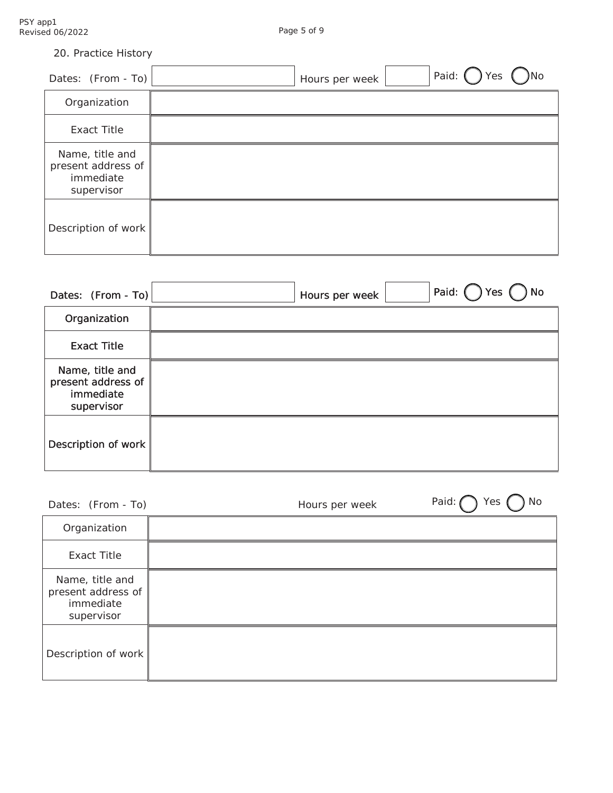|  | 20. Practice History |  |
|--|----------------------|--|
|--|----------------------|--|

| Dates: $(From - To)$                                             | <b>No</b><br>Yes<br>Hours per week |
|------------------------------------------------------------------|------------------------------------|
| Organization                                                     |                                    |
| Exact Title                                                      |                                    |
| Name, title and<br>present address of<br>immediate<br>supervisor |                                    |
| Description of work                                              |                                    |

| Dates: $(From - To)$                                             | Hours per week | Paid: (<br><b>No</b><br>Yes |
|------------------------------------------------------------------|----------------|-----------------------------|
| Organization                                                     |                |                             |
| <b>Exact Title</b>                                               |                |                             |
| Name, title and<br>present address of<br>immediate<br>supervisor |                |                             |
| Description of work                                              |                |                             |

| Dates: (From - To)                                               | Paid:<br>Yes<br>No<br>Hours per week |
|------------------------------------------------------------------|--------------------------------------|
| Organization                                                     |                                      |
| <b>Exact Title</b>                                               |                                      |
| Name, title and<br>present address of<br>immediate<br>supervisor |                                      |
| Description of work                                              |                                      |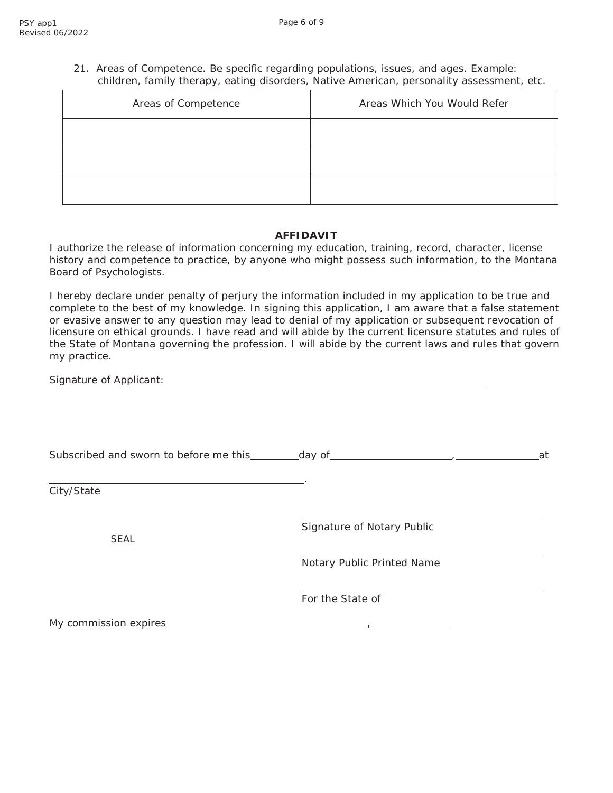21. Areas of Competence. Be specific regarding populations, issues, and ages. Example: children, family therapy, eating disorders, Native American, personality assessment, etc.

| Areas of Competence | Areas Which You Would Refer |  |
|---------------------|-----------------------------|--|
|                     |                             |  |
|                     |                             |  |
|                     |                             |  |

#### **AFFIDAVIT**

I authorize the release of information concerning my education, training, record, character, license history and competence to practice, by anyone who might possess such information, to the Montana Board of Psychologists.

I hereby declare under penalty of perjury the information included in my application to be true and complete to the best of my knowledge. In signing this application, I am aware that a false statement or evasive answer to any question may lead to denial of my application or subsequent revocation of licensure on ethical grounds. I have read and will abide by the current licensure statutes and rules of the State of Montana governing the profession. I will abide by the current laws and rules that govern my practice.

Signature of Applicant: 

|                       |                            | at |
|-----------------------|----------------------------|----|
| City/State            |                            |    |
| <b>SEAL</b>           | Signature of Notary Public |    |
|                       | Notary Public Printed Name |    |
|                       | For the State of           |    |
| My commission expires |                            |    |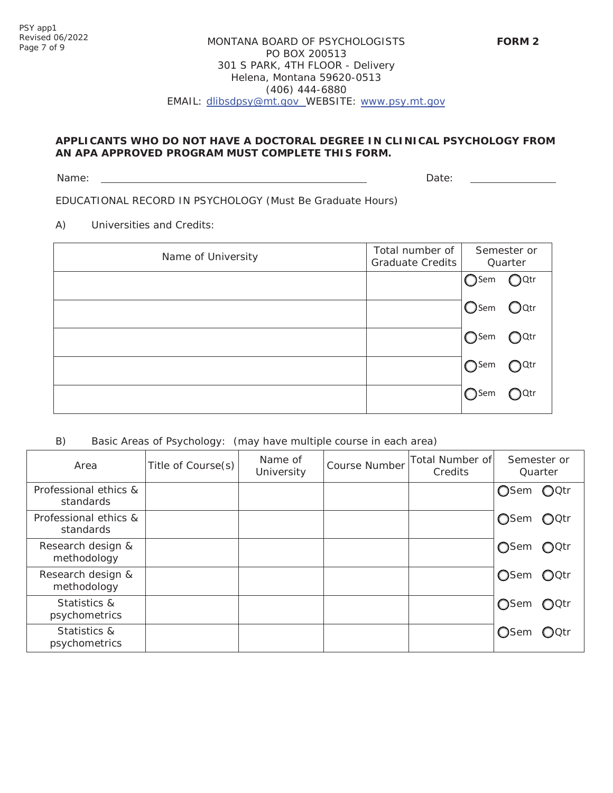# MONTANA BOARD OF PSYCHOLOGISTS PO BOX 200513 301 S PARK, 4TH FLOOR - Delivery Helena, Montana 59620-0513 (406) 444-6880 EMAIL: [dlibsdpsy@mt.gov](mailto:dlibsdpsy@mt.gov) WEBSITE: [www.psy.mt.gov](http://www.psy.mt.gov/)

# **APPLICANTS WHO DO NOT HAVE A DOCTORAL DEGREE IN CLINICAL PSYCHOLOGY FROM AN APA APPROVED PROGRAM MUST COMPLETE THIS FORM.**

Name: Date: Development of the contract of the contract of the contract of the Date:

EDUCATIONAL RECORD IN PSYCHOLOGY (Must Be Graduate Hours)

A) Universities and Credits:

| Name of University | Total number of<br><b>Graduate Credits</b> | Semester or<br>Quarter                 |                           |
|--------------------|--------------------------------------------|----------------------------------------|---------------------------|
|                    |                                            | $\bigcirc$ Sem                         | $\bigcirc$ Qtr            |
|                    |                                            | <b>O</b> Sem                           | $\mathsf{O}^{\text{Qtr}}$ |
|                    |                                            | $\bigcirc$ Sem                         | $J$ Sem $\bigcirc$ Qtr    |
|                    |                                            | $\bigcirc$ Sem<br>e a componente della | $\bigcirc$ Qtr            |
|                    |                                            | $\bigcap$ Sem                          | ○Qtr                      |

# B) Basic Areas of Psychology: (may have multiple course in each area)

| Area                               | Title of Course(s) | Name of<br>University | <b>Course Number</b> | Total Number of<br>Credits | Semester or<br>Quarter          |
|------------------------------------|--------------------|-----------------------|----------------------|----------------------------|---------------------------------|
| Professional ethics &<br>standards |                    |                       |                      |                            | OSem OQtr                       |
| Professional ethics &<br>standards |                    |                       |                      |                            | $QQ$ ctr<br>◯Sem                |
| Research design &<br>methodology   |                    |                       |                      |                            | $OQ$ Qtr<br><b>○</b> Sem        |
| Research design &<br>methodology   |                    |                       |                      |                            | $\bigcirc$ Octr<br><b>O</b> Sem |
| Statistics &<br>psychometrics      |                    |                       |                      |                            | ◯Sem<br>$\bigcirc$ Qtr          |
| Statistics &<br>psychometrics      |                    |                       |                      |                            | <b>O</b> Sem<br>OQtr            |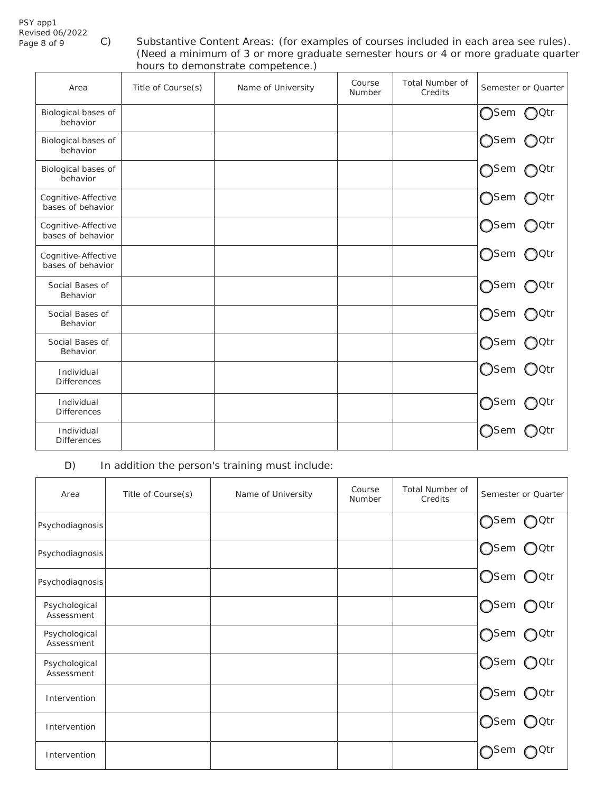# PSY app1 Revised 06/2022

C) Substantive Content Areas: (for examples of courses included in each area see rules). (Need a minimum of 3 or more graduate semester hours or 4 or more graduate quarter hours to demonstrate competence.)

| Area                                     | Title of Course(s) | Name of University | Course<br>Number | <b>Total Number of</b><br>Credits | Semester or Quarter    |
|------------------------------------------|--------------------|--------------------|------------------|-----------------------------------|------------------------|
| Biological bases of<br>behavior          |                    |                    |                  |                                   | ∩Qtr<br>$\bigcap$ Sem  |
| Biological bases of<br>behavior          |                    |                    |                  |                                   | ◯Sem<br>○ Qtr          |
| Biological bases of<br>behavior          |                    |                    |                  |                                   | ∩Sem<br>$\bigcap$ Qtr  |
| Cognitive-Affective<br>bases of behavior |                    |                    |                  |                                   | ∩Sem<br>○Qtr           |
| Cognitive-Affective<br>bases of behavior |                    |                    |                  |                                   | $\bigcirc$ Sem<br>)Qtr |
| Cognitive-Affective<br>bases of behavior |                    |                    |                  |                                   | $\bigcirc$ Sem<br>)Qtr |
| Social Bases of<br>Behavior              |                    |                    |                  |                                   | $\bigcap$ Sem<br>0tr   |
| Social Bases of<br>Behavior              |                    |                    |                  |                                   | ∩Sem<br>)Qtr           |
| Social Bases of<br>Behavior              |                    |                    |                  |                                   | ∩Sem<br>○Qtr           |
| Individual<br><b>Differences</b>         |                    |                    |                  |                                   | $\bigcirc$ Sem<br>OQtr |
| Individual<br>Differences                |                    |                    |                  |                                   | $\bigcap$ Sem<br>∩Qtr  |
| Individual<br><b>Differences</b>         |                    |                    |                  |                                   | )Sem<br>Qtr            |

D) In addition the person's training must include:

| Area                        | Title of Course(s) | Name of University | Course<br>Number | <b>Total Number of</b><br>Credits | Semester or Quarter |
|-----------------------------|--------------------|--------------------|------------------|-----------------------------------|---------------------|
| Psychodiagnosis             |                    |                    |                  |                                   | ∩Sem<br>$O^{Qtr}$   |
| Psychodiagnosis             |                    |                    |                  |                                   | ○Sem ○Qtr           |
| Psychodiagnosis             |                    |                    |                  |                                   | Osem OQtr           |
| Psychological<br>Assessment |                    |                    |                  |                                   | ∩Sem<br>$O^{Qtr}$   |
| Psychological<br>Assessment |                    |                    |                  |                                   | ∩Sem<br>$O^{Qtr}$   |
| Psychological<br>Assessment |                    |                    |                  |                                   | ○Sem ○Qtr           |
| Intervention                |                    |                    |                  |                                   | Osem OQtr           |
| Intervention                |                    |                    |                  |                                   | ○Sem ○Qtr           |
| Intervention                |                    |                    |                  |                                   | <b>Sem</b><br>Qtr   |